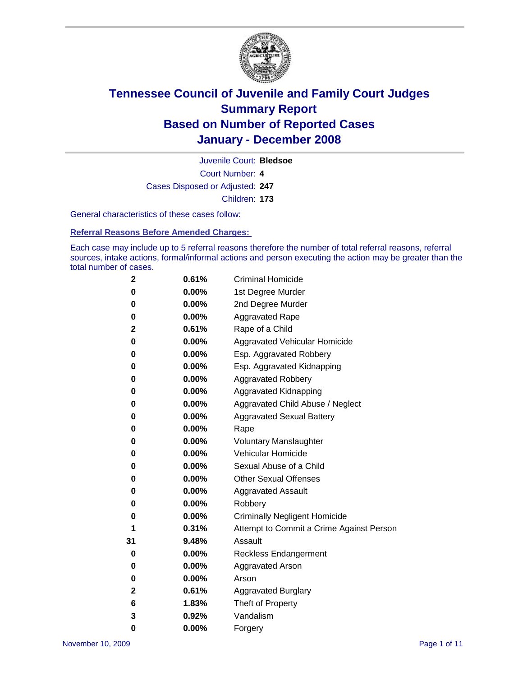

Court Number: **4** Juvenile Court: **Bledsoe** Cases Disposed or Adjusted: **247** Children: **173**

General characteristics of these cases follow:

**Referral Reasons Before Amended Charges:** 

Each case may include up to 5 referral reasons therefore the number of total referral reasons, referral sources, intake actions, formal/informal actions and person executing the action may be greater than the total number of cases.

| 2  | 0.61%    | <b>Criminal Homicide</b>                 |  |  |  |
|----|----------|------------------------------------------|--|--|--|
| 0  | 0.00%    | 1st Degree Murder                        |  |  |  |
| 0  | $0.00\%$ | 2nd Degree Murder                        |  |  |  |
| 0  | 0.00%    | <b>Aggravated Rape</b>                   |  |  |  |
| 2  | 0.61%    | Rape of a Child                          |  |  |  |
| 0  | $0.00\%$ | Aggravated Vehicular Homicide            |  |  |  |
| 0  | 0.00%    | Esp. Aggravated Robbery                  |  |  |  |
| 0  | $0.00\%$ | Esp. Aggravated Kidnapping               |  |  |  |
| 0  | 0.00%    | <b>Aggravated Robbery</b>                |  |  |  |
| 0  | 0.00%    | Aggravated Kidnapping                    |  |  |  |
| 0  | $0.00\%$ | Aggravated Child Abuse / Neglect         |  |  |  |
| 0  | 0.00%    | <b>Aggravated Sexual Battery</b>         |  |  |  |
| 0  | 0.00%    | Rape                                     |  |  |  |
| 0  | 0.00%    | <b>Voluntary Manslaughter</b>            |  |  |  |
| 0  | 0.00%    | Vehicular Homicide                       |  |  |  |
| 0  | $0.00\%$ | Sexual Abuse of a Child                  |  |  |  |
| 0  | 0.00%    | <b>Other Sexual Offenses</b>             |  |  |  |
| 0  | 0.00%    | <b>Aggravated Assault</b>                |  |  |  |
| 0  | 0.00%    | Robbery                                  |  |  |  |
| 0  | 0.00%    | <b>Criminally Negligent Homicide</b>     |  |  |  |
| 1  | 0.31%    | Attempt to Commit a Crime Against Person |  |  |  |
| 31 | 9.48%    | Assault                                  |  |  |  |
| 0  | $0.00\%$ | <b>Reckless Endangerment</b>             |  |  |  |
| 0  | 0.00%    | <b>Aggravated Arson</b>                  |  |  |  |
| 0  | 0.00%    | Arson                                    |  |  |  |
| 2  | 0.61%    | <b>Aggravated Burglary</b>               |  |  |  |
| 6  | 1.83%    | Theft of Property                        |  |  |  |
| 3  | 0.92%    | Vandalism                                |  |  |  |
| 0  | 0.00%    | Forgery                                  |  |  |  |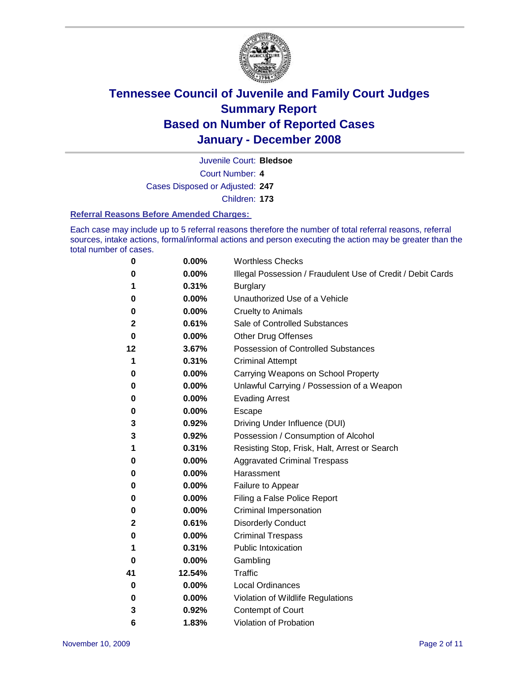

Juvenile Court: **Bledsoe**

Court Number: **4**

Cases Disposed or Adjusted: **247**

Children: **173**

### **Referral Reasons Before Amended Charges:**

Each case may include up to 5 referral reasons therefore the number of total referral reasons, referral sources, intake actions, formal/informal actions and person executing the action may be greater than the total number of cases.

| 0  | 0.00%  | <b>Worthless Checks</b>                                     |  |  |
|----|--------|-------------------------------------------------------------|--|--|
| 0  | 0.00%  | Illegal Possession / Fraudulent Use of Credit / Debit Cards |  |  |
| 1  | 0.31%  | <b>Burglary</b>                                             |  |  |
| 0  | 0.00%  | Unauthorized Use of a Vehicle                               |  |  |
| 0  | 0.00%  | <b>Cruelty to Animals</b>                                   |  |  |
| 2  | 0.61%  | Sale of Controlled Substances                               |  |  |
| 0  | 0.00%  | <b>Other Drug Offenses</b>                                  |  |  |
| 12 | 3.67%  | <b>Possession of Controlled Substances</b>                  |  |  |
| 1  | 0.31%  | <b>Criminal Attempt</b>                                     |  |  |
| 0  | 0.00%  | Carrying Weapons on School Property                         |  |  |
| 0  | 0.00%  | Unlawful Carrying / Possession of a Weapon                  |  |  |
| 0  | 0.00%  | <b>Evading Arrest</b>                                       |  |  |
| 0  | 0.00%  | Escape                                                      |  |  |
| 3  | 0.92%  | Driving Under Influence (DUI)                               |  |  |
| 3  | 0.92%  | Possession / Consumption of Alcohol                         |  |  |
| 1  | 0.31%  | Resisting Stop, Frisk, Halt, Arrest or Search               |  |  |
| 0  | 0.00%  | <b>Aggravated Criminal Trespass</b>                         |  |  |
| 0  | 0.00%  | Harassment                                                  |  |  |
| 0  | 0.00%  | Failure to Appear                                           |  |  |
| 0  | 0.00%  | Filing a False Police Report                                |  |  |
| 0  | 0.00%  | Criminal Impersonation                                      |  |  |
| 2  | 0.61%  | <b>Disorderly Conduct</b>                                   |  |  |
| 0  | 0.00%  | <b>Criminal Trespass</b>                                    |  |  |
| 1  | 0.31%  | <b>Public Intoxication</b>                                  |  |  |
| 0  | 0.00%  | Gambling                                                    |  |  |
| 41 | 12.54% | <b>Traffic</b>                                              |  |  |
| 0  | 0.00%  | Local Ordinances                                            |  |  |
| 0  | 0.00%  | Violation of Wildlife Regulations                           |  |  |
| 3  | 0.92%  | Contempt of Court                                           |  |  |
| 6  | 1.83%  | Violation of Probation                                      |  |  |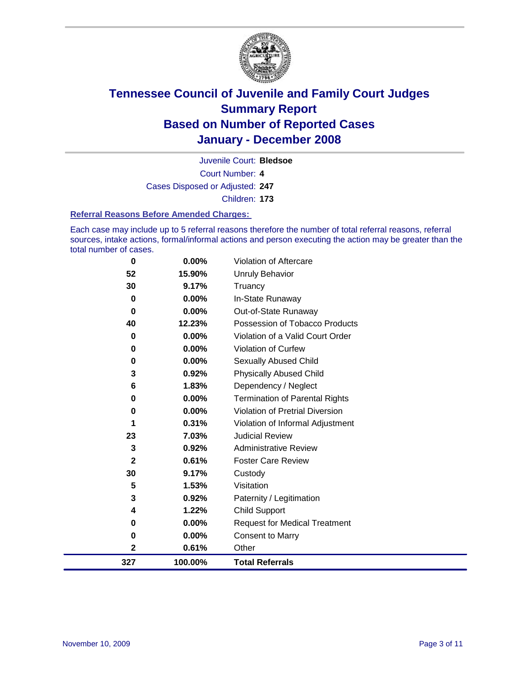

Court Number: **4** Juvenile Court: **Bledsoe** Cases Disposed or Adjusted: **247** Children: **173**

#### **Referral Reasons Before Amended Charges:**

Each case may include up to 5 referral reasons therefore the number of total referral reasons, referral sources, intake actions, formal/informal actions and person executing the action may be greater than the total number of cases.

| 0                       | 0.00%   | Violation of Aftercare                 |
|-------------------------|---------|----------------------------------------|
| 52                      | 15.90%  | <b>Unruly Behavior</b>                 |
| 30                      | 9.17%   | Truancy                                |
| 0                       | 0.00%   | In-State Runaway                       |
| 0                       | 0.00%   | Out-of-State Runaway                   |
| 40                      | 12.23%  | Possession of Tobacco Products         |
| 0                       | 0.00%   | Violation of a Valid Court Order       |
| 0                       | 0.00%   | <b>Violation of Curfew</b>             |
| 0                       | 0.00%   | Sexually Abused Child                  |
| 3                       | 0.92%   | <b>Physically Abused Child</b>         |
| 6                       | 1.83%   | Dependency / Neglect                   |
| 0                       | 0.00%   | <b>Termination of Parental Rights</b>  |
| 0                       | 0.00%   | <b>Violation of Pretrial Diversion</b> |
| 1                       | 0.31%   | Violation of Informal Adjustment       |
| 23                      | 7.03%   | <b>Judicial Review</b>                 |
| 3                       | 0.92%   | <b>Administrative Review</b>           |
| $\mathbf{2}$            | 0.61%   | <b>Foster Care Review</b>              |
| 30                      | 9.17%   | Custody                                |
| 5                       | 1.53%   | Visitation                             |
| 3                       | 0.92%   | Paternity / Legitimation               |
| 4                       | 1.22%   | <b>Child Support</b>                   |
| 0                       | 0.00%   | <b>Request for Medical Treatment</b>   |
| 0                       | 0.00%   | <b>Consent to Marry</b>                |
| $\overline{\mathbf{2}}$ | 0.61%   | Other                                  |
| 327                     | 100.00% | <b>Total Referrals</b>                 |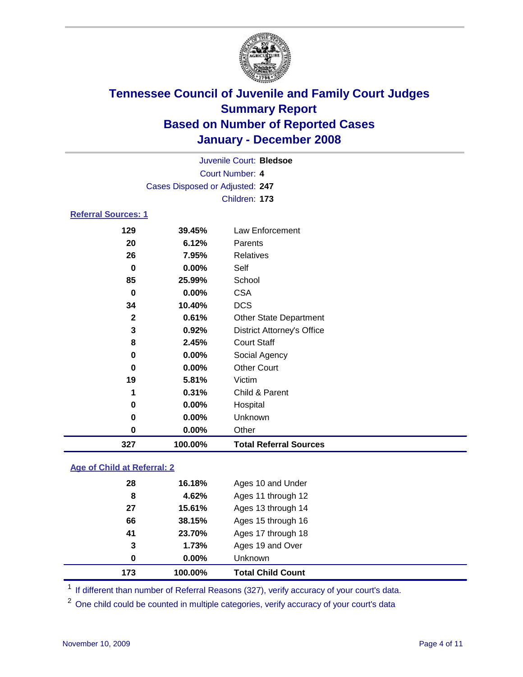

|                            | Juvenile Court: Bledsoe         |  |                  |  |  |  |
|----------------------------|---------------------------------|--|------------------|--|--|--|
|                            | Court Number: 4                 |  |                  |  |  |  |
|                            | Cases Disposed or Adjusted: 247 |  |                  |  |  |  |
|                            |                                 |  | Children: 173    |  |  |  |
| <b>Referral Sources: 1</b> |                                 |  |                  |  |  |  |
| 129                        | 39.45%                          |  | Law Enforcement  |  |  |  |
|                            | 6.12%<br>20                     |  | Parents          |  |  |  |
|                            | 26<br>7.95%                     |  | <b>Relatives</b> |  |  |  |
|                            | 0.00%<br>0                      |  | Self             |  |  |  |
|                            | 85<br>25.99%                    |  | School           |  |  |  |
|                            | 0.00%<br>0                      |  | CSA              |  |  |  |

| 327          | 100.00%  | <b>Total Referral Sources</b>     |
|--------------|----------|-----------------------------------|
| 0            | 0.00%    | Other                             |
| 0            | 0.00%    | Unknown                           |
| 0            | 0.00%    | Hospital                          |
| 1            | 0.31%    | Child & Parent                    |
| 19           | 5.81%    | Victim                            |
| 0            | $0.00\%$ | <b>Other Court</b>                |
| 0            | 0.00%    | Social Agency                     |
| 8            | 2.45%    | <b>Court Staff</b>                |
| 3            | 0.92%    | <b>District Attorney's Office</b> |
| $\mathbf{2}$ | 0.61%    | <b>Other State Department</b>     |
| 34           | 10.40%   | <b>DCS</b>                        |
| 0            | $0.00\%$ | <b>CSA</b>                        |

### **Age of Child at Referral: 2**

| 173 | 100.00% | <b>Total Child Count</b> |
|-----|---------|--------------------------|
| 0   | 0.00%   | Unknown                  |
| 3   | 1.73%   | Ages 19 and Over         |
| 41  | 23.70%  | Ages 17 through 18       |
| 66  | 38.15%  | Ages 15 through 16       |
| 27  | 15.61%  | Ages 13 through 14       |
| 8   | 4.62%   | Ages 11 through 12       |
| 28  | 16.18%  | Ages 10 and Under        |
|     |         |                          |

<sup>1</sup> If different than number of Referral Reasons (327), verify accuracy of your court's data.

<sup>2</sup> One child could be counted in multiple categories, verify accuracy of your court's data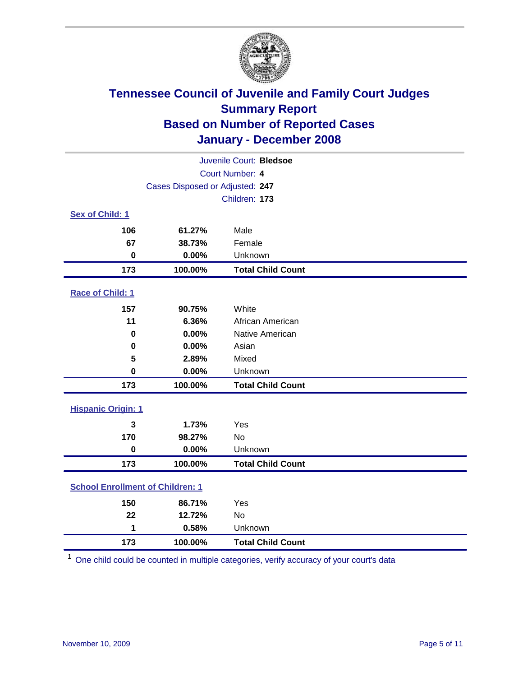

| Juvenile Court: Bledsoe                 |                                 |                          |  |  |  |
|-----------------------------------------|---------------------------------|--------------------------|--|--|--|
| Court Number: 4                         |                                 |                          |  |  |  |
|                                         | Cases Disposed or Adjusted: 247 |                          |  |  |  |
|                                         |                                 | Children: 173            |  |  |  |
| Sex of Child: 1                         |                                 |                          |  |  |  |
| 106                                     | 61.27%                          | Male                     |  |  |  |
| 67                                      | 38.73%                          | Female                   |  |  |  |
| $\bf{0}$                                | 0.00%                           | Unknown                  |  |  |  |
| 173                                     | 100.00%                         | <b>Total Child Count</b> |  |  |  |
| <b>Race of Child: 1</b>                 |                                 |                          |  |  |  |
| 157                                     | 90.75%                          | White                    |  |  |  |
| 11                                      | 6.36%                           | African American         |  |  |  |
| 0                                       | 0.00%                           | Native American          |  |  |  |
| 0                                       | 0.00%                           | Asian                    |  |  |  |
| 5                                       | 2.89%                           | Mixed                    |  |  |  |
| $\bf{0}$                                | 0.00%                           | Unknown                  |  |  |  |
| 173                                     | 100.00%                         | <b>Total Child Count</b> |  |  |  |
| <b>Hispanic Origin: 1</b>               |                                 |                          |  |  |  |
| 3                                       | 1.73%                           | Yes                      |  |  |  |
| 170                                     | 98.27%                          | <b>No</b>                |  |  |  |
| $\mathbf 0$                             | 0.00%                           | Unknown                  |  |  |  |
| 173                                     | 100.00%                         | <b>Total Child Count</b> |  |  |  |
| <b>School Enrollment of Children: 1</b> |                                 |                          |  |  |  |
| 150                                     | 86.71%                          | Yes                      |  |  |  |
| 22                                      | 12.72%                          | No                       |  |  |  |
| 1                                       | 0.58%                           | Unknown                  |  |  |  |
| 173                                     | 100.00%                         | <b>Total Child Count</b> |  |  |  |

One child could be counted in multiple categories, verify accuracy of your court's data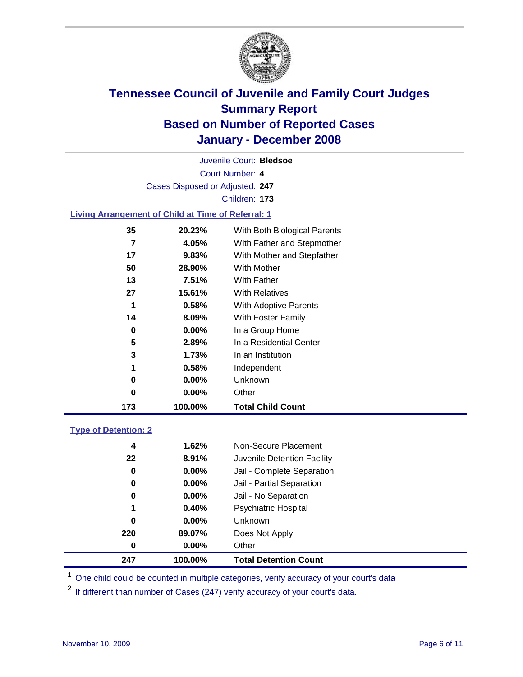

Court Number: **4** Juvenile Court: **Bledsoe** Cases Disposed or Adjusted: **247** Children: **173 Living Arrangement of Child at Time of Referral: 1 20.23%** With Both Biological Parents

| 173 | 100.00%  | <b>Total Child Count</b>      |
|-----|----------|-------------------------------|
| 0   | $0.00\%$ | Other                         |
| 0   | $0.00\%$ | Unknown                       |
| 1   | 0.58%    | Independent                   |
| 3   | 1.73%    | In an Institution             |
| 5   | 2.89%    | In a Residential Center       |
| 0   | $0.00\%$ | In a Group Home               |
| 14  | 8.09%    | With Foster Family            |
|     | 0.58%    | With Adoptive Parents         |
| 27  | 15.61%   | <b>With Relatives</b>         |
| 13  | 7.51%    | With Father                   |
| 50  | 28.90%   | <b>With Mother</b>            |
| 17  | 9.83%    | With Mother and Stepfather    |
|     | 4.05%    | With Father and Stepmother    |
| კე  | ZU.Z3%   | VVIth Both Bloidgical Parents |

### **Type of Detention: 2**

| 247 | 100.00%  | <b>Total Detention Count</b> |
|-----|----------|------------------------------|
| 0   | $0.00\%$ | Other                        |
| 220 | 89.07%   | Does Not Apply               |
| 0   | $0.00\%$ | Unknown                      |
| 1   | 0.40%    | <b>Psychiatric Hospital</b>  |
| 0   | 0.00%    | Jail - No Separation         |
| 0   | $0.00\%$ | Jail - Partial Separation    |
| 0   | $0.00\%$ | Jail - Complete Separation   |
| 22  | 8.91%    | Juvenile Detention Facility  |
| 4   | 1.62%    | Non-Secure Placement         |
|     |          |                              |

<sup>1</sup> One child could be counted in multiple categories, verify accuracy of your court's data

<sup>2</sup> If different than number of Cases (247) verify accuracy of your court's data.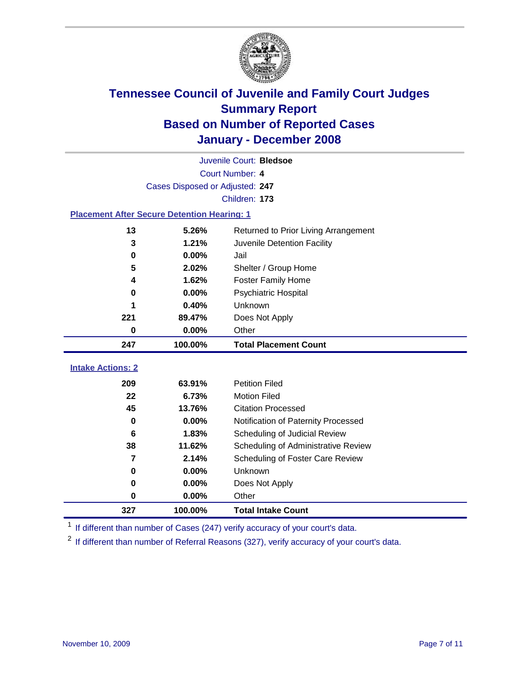

| Juvenile Court: Bledsoe  |                                                    |                                      |  |  |  |  |
|--------------------------|----------------------------------------------------|--------------------------------------|--|--|--|--|
|                          | Court Number: 4                                    |                                      |  |  |  |  |
|                          | Cases Disposed or Adjusted: 247                    |                                      |  |  |  |  |
|                          | Children: 173                                      |                                      |  |  |  |  |
|                          | <b>Placement After Secure Detention Hearing: 1</b> |                                      |  |  |  |  |
| 13                       | 5.26%                                              | Returned to Prior Living Arrangement |  |  |  |  |
| 3                        | 1.21%                                              | Juvenile Detention Facility          |  |  |  |  |
| $\mathbf 0$              | 0.00%                                              | Jail                                 |  |  |  |  |
| 5                        | 2.02%                                              | Shelter / Group Home                 |  |  |  |  |
| 4                        | 1.62%                                              | <b>Foster Family Home</b>            |  |  |  |  |
| 0                        | 0.00%                                              | Psychiatric Hospital                 |  |  |  |  |
|                          | 0.40%                                              | Unknown                              |  |  |  |  |
| 221                      | 89.47%                                             | Does Not Apply                       |  |  |  |  |
| 0                        | 0.00%                                              | Other                                |  |  |  |  |
|                          |                                                    |                                      |  |  |  |  |
| 247                      | 100.00%                                            | <b>Total Placement Count</b>         |  |  |  |  |
| <b>Intake Actions: 2</b> |                                                    |                                      |  |  |  |  |
| 209                      | 63.91%                                             | <b>Petition Filed</b>                |  |  |  |  |
| 22                       | 6.73%                                              | <b>Motion Filed</b>                  |  |  |  |  |
| 45                       | 13.76%                                             | <b>Citation Processed</b>            |  |  |  |  |
| $\bf{0}$                 | 0.00%                                              | Notification of Paternity Processed  |  |  |  |  |
| $6\phantom{1}6$          | 1.83%                                              | Scheduling of Judicial Review        |  |  |  |  |
| 38                       | 11.62%                                             | Scheduling of Administrative Review  |  |  |  |  |
| $\overline{7}$           | 2.14%                                              | Scheduling of Foster Care Review     |  |  |  |  |
| $\bf{0}$                 | 0.00%                                              | Unknown                              |  |  |  |  |
| 0                        | 0.00%                                              | Does Not Apply                       |  |  |  |  |
| $\bf{0}$                 | 0.00%                                              | Other                                |  |  |  |  |

<sup>1</sup> If different than number of Cases (247) verify accuracy of your court's data.

<sup>2</sup> If different than number of Referral Reasons (327), verify accuracy of your court's data.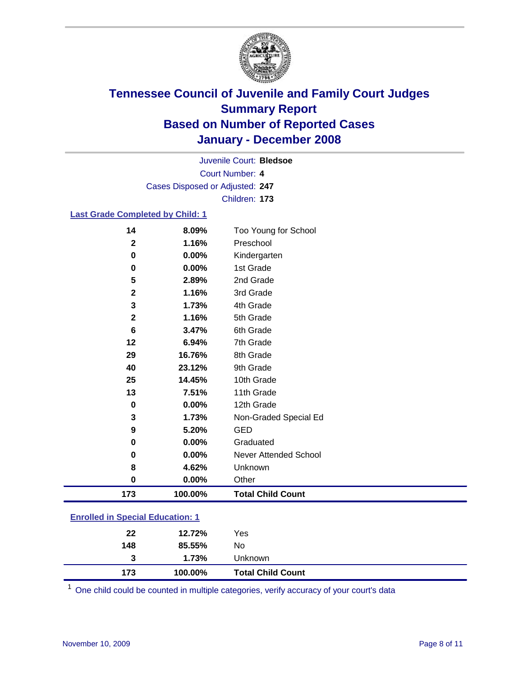

Court Number: **4** Juvenile Court: **Bledsoe** Cases Disposed or Adjusted: **247** Children: **173**

#### **Last Grade Completed by Child: 1**

| 173          | 100.00% | <b>Total Child Count</b> |
|--------------|---------|--------------------------|
| 0            | 0.00%   | Other                    |
| 8            | 4.62%   | Unknown                  |
| 0            | 0.00%   | Never Attended School    |
| 0            | 0.00%   | Graduated                |
| 9            | 5.20%   | <b>GED</b>               |
| 3            | 1.73%   | Non-Graded Special Ed    |
| 0            | 0.00%   | 12th Grade               |
| 13           | 7.51%   | 11th Grade               |
| 25           | 14.45%  | 10th Grade               |
| 40           | 23.12%  | 9th Grade                |
| 29           | 16.76%  | 8th Grade                |
| 12           | 6.94%   | 7th Grade                |
| 6            | 3.47%   | 6th Grade                |
| $\mathbf{2}$ | 1.16%   | 5th Grade                |
| 3            | 1.73%   | 4th Grade                |
| $\mathbf 2$  | 1.16%   | 3rd Grade                |
| 5            | 2.89%   | 2nd Grade                |
| 0            | 0.00%   | 1st Grade                |
| 0            | 0.00%   | Kindergarten             |
| $\mathbf{2}$ | 1.16%   | Preschool                |
| 14           | 8.09%   | Too Young for School     |

### **Enrolled in Special Education: 1**

| 22       | 12.72%          | Yes                      |
|----------|-----------------|--------------------------|
| 148<br>3 | 85.55%<br>1.73% | No<br><b>Unknown</b>     |
| 173      | 100.00%         | <b>Total Child Count</b> |

<sup>1</sup> One child could be counted in multiple categories, verify accuracy of your court's data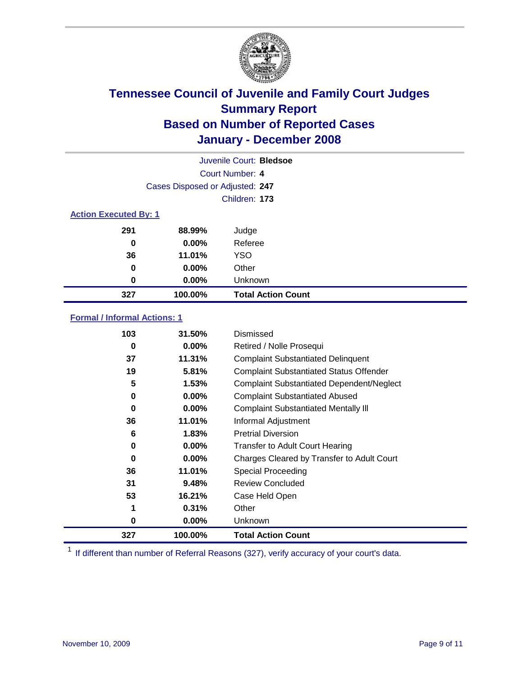

|                              |                                 | Juvenile Court: Bledsoe   |
|------------------------------|---------------------------------|---------------------------|
|                              |                                 | Court Number: 4           |
|                              | Cases Disposed or Adjusted: 247 |                           |
|                              |                                 | Children: 173             |
| <b>Action Executed By: 1</b> |                                 |                           |
| 291                          | 88.99%                          | Judge                     |
| 0                            | $0.00\%$                        | Referee                   |
| 36                           | 11.01%                          | <b>YSO</b>                |
| 0                            | 0.00%                           | Other                     |
| 0                            | 0.00%                           | Unknown                   |
| 327                          | 100.00%                         | <b>Total Action Count</b> |

### **Formal / Informal Actions: 1**

| 103 | 31.50%   | Dismissed                                        |
|-----|----------|--------------------------------------------------|
| 0   | $0.00\%$ | Retired / Nolle Prosequi                         |
| 37  | 11.31%   | <b>Complaint Substantiated Delinquent</b>        |
| 19  | 5.81%    | <b>Complaint Substantiated Status Offender</b>   |
| 5   | 1.53%    | <b>Complaint Substantiated Dependent/Neglect</b> |
| 0   | $0.00\%$ | <b>Complaint Substantiated Abused</b>            |
| 0   | $0.00\%$ | <b>Complaint Substantiated Mentally III</b>      |
| 36  | 11.01%   | Informal Adjustment                              |
| 6   | 1.83%    | <b>Pretrial Diversion</b>                        |
| 0   | $0.00\%$ | <b>Transfer to Adult Court Hearing</b>           |
| 0   | $0.00\%$ | Charges Cleared by Transfer to Adult Court       |
| 36  | 11.01%   | Special Proceeding                               |
| 31  | 9.48%    | <b>Review Concluded</b>                          |
| 53  | 16.21%   | Case Held Open                                   |
| 1   | 0.31%    | Other                                            |
| 0   | $0.00\%$ | Unknown                                          |
| 327 | 100.00%  | <b>Total Action Count</b>                        |

<sup>1</sup> If different than number of Referral Reasons (327), verify accuracy of your court's data.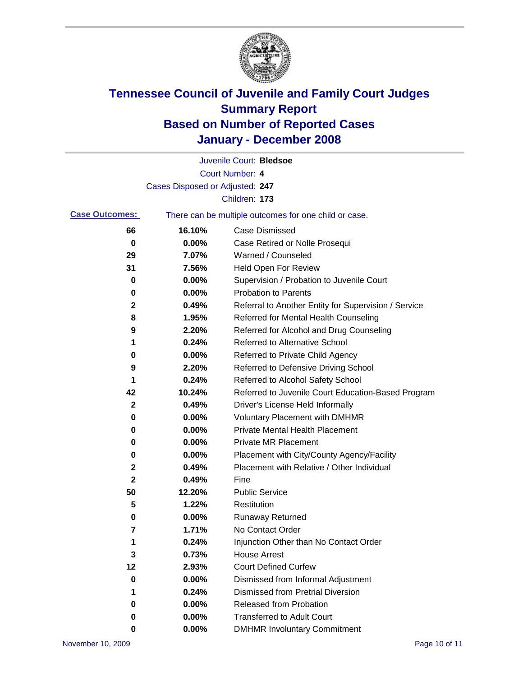

|                       |                                 | Juvenile Court: Bledsoe                               |
|-----------------------|---------------------------------|-------------------------------------------------------|
|                       |                                 | Court Number: 4                                       |
|                       | Cases Disposed or Adjusted: 247 |                                                       |
|                       |                                 | Children: 173                                         |
| <b>Case Outcomes:</b> |                                 | There can be multiple outcomes for one child or case. |
| 66                    | 16.10%                          | <b>Case Dismissed</b>                                 |
| 0                     | 0.00%                           | Case Retired or Nolle Prosequi                        |
| 29                    | 7.07%                           | Warned / Counseled                                    |
| 31                    | 7.56%                           | Held Open For Review                                  |
| 0                     | 0.00%                           | Supervision / Probation to Juvenile Court             |
| 0                     | 0.00%                           | <b>Probation to Parents</b>                           |
| 2                     | 0.49%                           | Referral to Another Entity for Supervision / Service  |
| 8                     | 1.95%                           | Referred for Mental Health Counseling                 |
| 9                     | 2.20%                           | Referred for Alcohol and Drug Counseling              |
| 1                     | 0.24%                           | <b>Referred to Alternative School</b>                 |
| 0                     | 0.00%                           | Referred to Private Child Agency                      |
| 9                     | 2.20%                           | Referred to Defensive Driving School                  |
| 1                     | 0.24%                           | Referred to Alcohol Safety School                     |
| 42                    | 10.24%                          | Referred to Juvenile Court Education-Based Program    |
| 2                     | 0.49%                           | Driver's License Held Informally                      |
| 0                     | 0.00%                           | <b>Voluntary Placement with DMHMR</b>                 |
| 0                     | 0.00%                           | <b>Private Mental Health Placement</b>                |
| 0                     | 0.00%                           | <b>Private MR Placement</b>                           |
| 0                     | 0.00%                           | Placement with City/County Agency/Facility            |
| 2                     | 0.49%                           | Placement with Relative / Other Individual            |
| 2                     | 0.49%                           | Fine                                                  |
| 50                    | 12.20%                          | <b>Public Service</b>                                 |
| 5                     | 1.22%                           | Restitution                                           |
| 0                     | 0.00%                           | <b>Runaway Returned</b>                               |
| 7                     | 1.71%                           | No Contact Order                                      |
| 1                     | 0.24%                           | Injunction Other than No Contact Order                |
| 3                     | 0.73%                           | <b>House Arrest</b>                                   |
| 12                    | 2.93%                           | <b>Court Defined Curfew</b>                           |
| 0                     | 0.00%                           | Dismissed from Informal Adjustment                    |
| 1                     | 0.24%                           | <b>Dismissed from Pretrial Diversion</b>              |
| 0                     | 0.00%                           | <b>Released from Probation</b>                        |
| 0                     | 0.00%                           | <b>Transferred to Adult Court</b>                     |
| 0                     | 0.00%                           | <b>DMHMR Involuntary Commitment</b>                   |